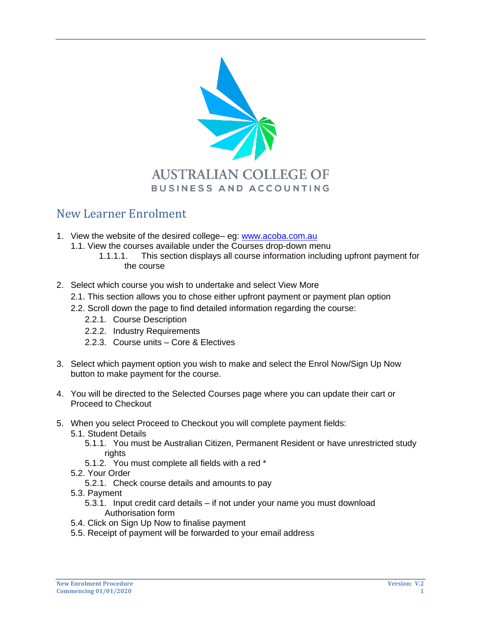

## New Learner Enrolment

- 1. View the website of the desired college– eg: [www.acoba.com.au](http://www.acoba.com.au/)
	- 1.1. View the courses available under the Courses drop-down menu
		- 1.1.1.1. This section displays all course information including upfront payment for the course
- 2. Select which course you wish to undertake and select View More
	- 2.1. This section allows you to chose either upfront payment or payment plan option
	- 2.2. Scroll down the page to find detailed information regarding the course:
		- 2.2.1. Course Description
		- 2.2.2. Industry Requirements
		- 2.2.3. Course units Core & Electives
- 3. Select which payment option you wish to make and select the Enrol Now/Sign Up Now button to make payment for the course.
- 4. You will be directed to the Selected Courses page where you can update their cart or Proceed to Checkout
- 5. When you select Proceed to Checkout you will complete payment fields:
	- 5.1. Student Details
		- 5.1.1. You must be Australian Citizen, Permanent Resident or have unrestricted study rights
		- 5.1.2. You must complete all fields with a red \*
	- 5.2. Your Order
		- 5.2.1. Check course details and amounts to pay
	- 5.3. Payment
		- 5.3.1. Input credit card details if not under your name you must download Authorisation form
	- 5.4. Click on Sign Up Now to finalise payment
	- 5.5. Receipt of payment will be forwarded to your email address